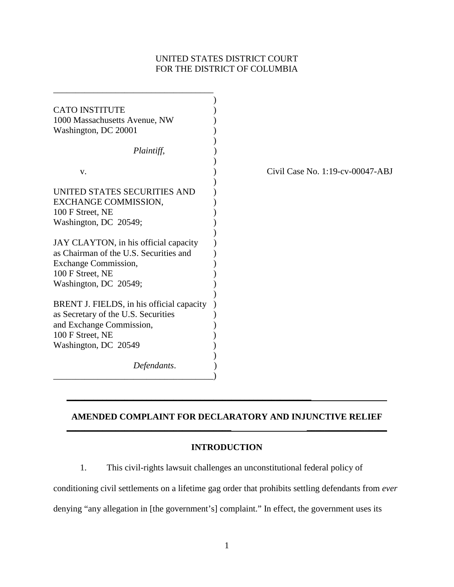## UNITED STATES DISTRICT COURT FOR THE DISTRICT OF COLUMBIA

| <b>CATO INSTITUTE</b>                                                                                                                                       |                                  |
|-------------------------------------------------------------------------------------------------------------------------------------------------------------|----------------------------------|
| 1000 Massachusetts Avenue, NW                                                                                                                               |                                  |
| Washington, DC 20001                                                                                                                                        |                                  |
|                                                                                                                                                             |                                  |
| Plaintiff,                                                                                                                                                  |                                  |
| V.                                                                                                                                                          | Civil Case No. 1:19-cv-00047-ABJ |
| UNITED STATES SECURITIES AND<br>EXCHANGE COMMISSION,<br>100 F Street, NE<br>Washington, DC 20549;                                                           |                                  |
| JAY CLAYTON, in his official capacity<br>as Chairman of the U.S. Securities and<br><b>Exchange Commission,</b><br>100 F Street, NE<br>Washington, DC 20549; |                                  |
| BRENT J. FIELDS, in his official capacity<br>as Secretary of the U.S. Securities<br>and Exchange Commission,<br>100 F Street, NE<br>Washington, DC 20549    |                                  |
| Defendants.                                                                                                                                                 |                                  |
|                                                                                                                                                             |                                  |

# **AMENDED COMPLAINT FOR DECLARATORY AND INJUNCTIVE RELIEF \_\_\_\_\_\_\_\_\_\_\_\_\_\_\_\_\_\_\_\_\_\_\_\_\_\_\_\_\_\_\_\_\_\_\_\_\_ \_\_\_\_\_\_\_\_\_\_\_\_\_\_\_\_\_\_**

**\_\_\_\_\_\_\_\_\_\_\_\_\_\_\_\_\_\_\_\_\_\_\_\_\_\_\_\_\_\_\_\_\_\_\_\_\_\_\_\_\_\_\_\_\_\_\_\_\_\_\_\_\_\_\_**

## **INTRODUCTION**

1. This civil-rights lawsuit challenges an unconstitutional federal policy of

conditioning civil settlements on a lifetime gag order that prohibits settling defendants from *ever*  denying "any allegation in [the government's] complaint." In effect, the government uses its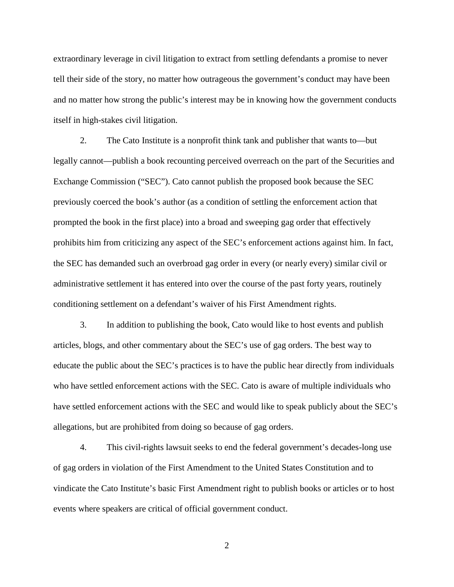extraordinary leverage in civil litigation to extract from settling defendants a promise to never tell their side of the story, no matter how outrageous the government's conduct may have been and no matter how strong the public's interest may be in knowing how the government conducts itself in high-stakes civil litigation.

2. The Cato Institute is a nonprofit think tank and publisher that wants to—but legally cannot—publish a book recounting perceived overreach on the part of the Securities and Exchange Commission ("SEC"). Cato cannot publish the proposed book because the SEC previously coerced the book's author (as a condition of settling the enforcement action that prompted the book in the first place) into a broad and sweeping gag order that effectively prohibits him from criticizing any aspect of the SEC's enforcement actions against him. In fact, the SEC has demanded such an overbroad gag order in every (or nearly every) similar civil or administrative settlement it has entered into over the course of the past forty years, routinely conditioning settlement on a defendant's waiver of his First Amendment rights.

3. In addition to publishing the book, Cato would like to host events and publish articles, blogs, and other commentary about the SEC's use of gag orders. The best way to educate the public about the SEC's practices is to have the public hear directly from individuals who have settled enforcement actions with the SEC. Cato is aware of multiple individuals who have settled enforcement actions with the SEC and would like to speak publicly about the SEC's allegations, but are prohibited from doing so because of gag orders.

4. This civil-rights lawsuit seeks to end the federal government's decades-long use of gag orders in violation of the First Amendment to the United States Constitution and to vindicate the Cato Institute's basic First Amendment right to publish books or articles or to host events where speakers are critical of official government conduct.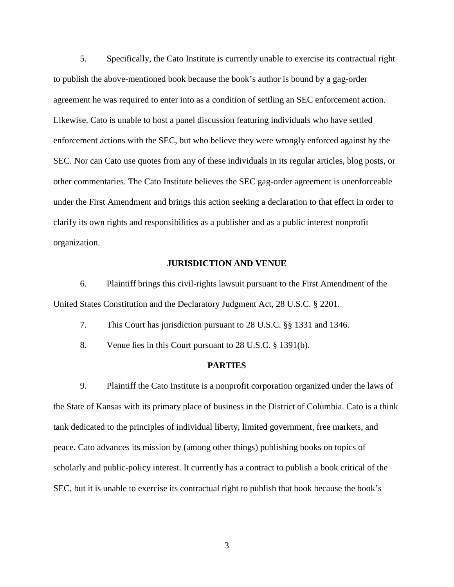5. Specifically, the Cato Institute is currently unable to exercise its contractual right to publish the above-mentioned book because the book's author is bound by a gag-order agreement he was required to enter into as a condition of settling an SEC enforcement action. Likewise, Cato is unable to host a panel discussion featuring individuals who have settled enforcement actions with the SEC, but who believe they were wrongly enforced against by the SEC. Nor can Cato use quotes from any of these individuals in its regular articles, blog posts, or other commentaries. The Cato Institute believes the SEC gag-order agreement is unenforceable under the First Amendment and brings this action seeking a declaration to that effect in order to clarify its own rights and responsibilities as a publisher and as a public interest nonprofit organization.

#### **JURISDICTION AND VENUE**

6. Plaintiff brings this civil-rights lawsuit pursuant to the First Amendment of the United States Constitution and the Declaratory Judgment Act, 28 U.S.C. § 2201.

7. This Court has jurisdiction pursuant to 28 U.S.C. §§ 1331 and 1346.

8. Venue lies in this Court pursuant to 28 U.S.C. § 1391(b).

#### **PARTIES**

9. Plaintiff the Cato Institute is a nonprofit corporation organized under the laws of the State of Kansas with its primary place of business in the District of Columbia. Cato is a think tank dedicated to the principles of individual liberty, limited government, free markets, and peace. Cato advances its mission by (among other things) publishing books on topics of scholarly and public-policy interest. It currently has a contract to publish a book critical of the SEC, but it is unable to exercise its contractual right to publish that book because the book's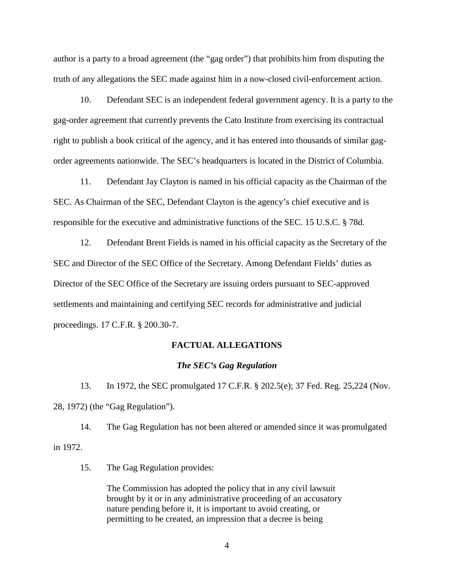author is a party to a broad agreement (the "gag order") that prohibits him from disputing the truth of any allegations the SEC made against him in a now-closed civil-enforcement action.

10. Defendant SEC is an independent federal government agency. It is a party to the gag-order agreement that currently prevents the Cato Institute from exercising its contractual right to publish a book critical of the agency, and it has entered into thousands of similar gagorder agreements nationwide. The SEC's headquarters is located in the District of Columbia.

11. Defendant Jay Clayton is named in his official capacity as the Chairman of the SEC. As Chairman of the SEC, Defendant Clayton is the agency's chief executive and is responsible for the executive and administrative functions of the SEC. 15 U.S.C. § 78d.

12. Defendant Brent Fields is named in his official capacity as the Secretary of the SEC and Director of the SEC Office of the Secretary. Among Defendant Fields' duties as Director of the SEC Office of the Secretary are issuing orders pursuant to SEC-approved settlements and maintaining and certifying SEC records for administrative and judicial proceedings. 17 C.F.R. § 200.30-7.

## **FACTUAL ALLEGATIONS**

#### *The SEC's Gag Regulation*

13. In 1972, the SEC promulgated 17 C.F.R. § 202.5(e); 37 Fed. Reg. 25,224 (Nov. 28, 1972) (the "Gag Regulation").

14. The Gag Regulation has not been altered or amended since it was promulgated in 1972.

15. The Gag Regulation provides:

The Commission has adopted the policy that in any civil lawsuit brought by it or in any administrative proceeding of an accusatory nature pending before it, it is important to avoid creating, or permitting to be created, an impression that a decree is being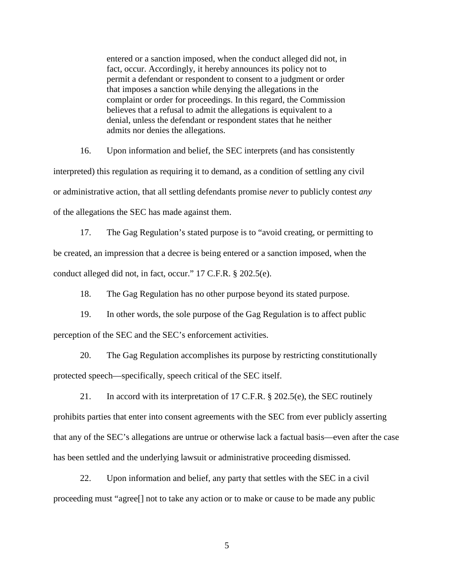entered or a sanction imposed, when the conduct alleged did not, in fact, occur. Accordingly, it hereby announces its policy not to permit a defendant or respondent to consent to a judgment or order that imposes a sanction while denying the allegations in the complaint or order for proceedings. In this regard, the Commission believes that a refusal to admit the allegations is equivalent to a denial, unless the defendant or respondent states that he neither admits nor denies the allegations.

16. Upon information and belief, the SEC interprets (and has consistently interpreted) this regulation as requiring it to demand, as a condition of settling any civil or administrative action, that all settling defendants promise *never* to publicly contest *any*  of the allegations the SEC has made against them.

17. The Gag Regulation's stated purpose is to "avoid creating, or permitting to be created, an impression that a decree is being entered or a sanction imposed, when the conduct alleged did not, in fact, occur." 17 C.F.R. § 202.5(e).

18. The Gag Regulation has no other purpose beyond its stated purpose.

19. In other words, the sole purpose of the Gag Regulation is to affect public perception of the SEC and the SEC's enforcement activities.

20. The Gag Regulation accomplishes its purpose by restricting constitutionally protected speech—specifically, speech critical of the SEC itself.

21. In accord with its interpretation of 17 C.F.R. § 202.5(e), the SEC routinely prohibits parties that enter into consent agreements with the SEC from ever publicly asserting that any of the SEC's allegations are untrue or otherwise lack a factual basis—even after the case has been settled and the underlying lawsuit or administrative proceeding dismissed.

22. Upon information and belief, any party that settles with the SEC in a civil proceeding must "agree[] not to take any action or to make or cause to be made any public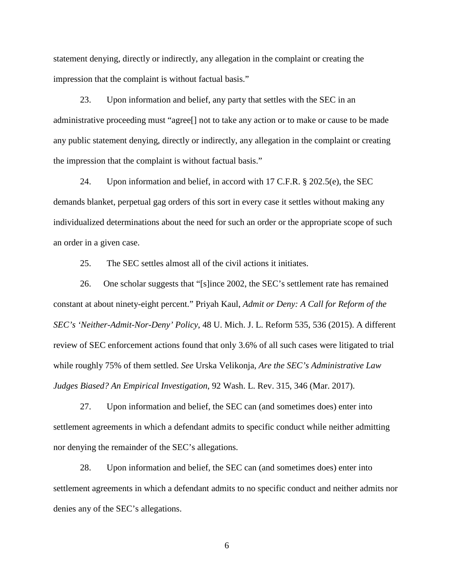statement denying, directly or indirectly, any allegation in the complaint or creating the impression that the complaint is without factual basis."

23. Upon information and belief, any party that settles with the SEC in an administrative proceeding must "agree[] not to take any action or to make or cause to be made any public statement denying, directly or indirectly, any allegation in the complaint or creating the impression that the complaint is without factual basis."

24. Upon information and belief, in accord with 17 C.F.R.  $\S 202.5(e)$ , the SEC demands blanket, perpetual gag orders of this sort in every case it settles without making any individualized determinations about the need for such an order or the appropriate scope of such an order in a given case.

25. The SEC settles almost all of the civil actions it initiates.

26. One scholar suggests that "[s]ince 2002, the SEC's settlement rate has remained constant at about ninety-eight percent." Priyah Kaul, *Admit or Deny: A Call for Reform of the SEC's 'Neither-Admit-Nor-Deny' Policy*, 48 U. Mich. J. L. Reform 535, 536 (2015). A different review of SEC enforcement actions found that only 3.6% of all such cases were litigated to trial while roughly 75% of them settled. *See* Urska Velikonja, *Are the SEC's Administrative Law Judges Biased? An Empirical Investigation*, 92 Wash. L. Rev. 315, 346 (Mar. 2017).

27. Upon information and belief, the SEC can (and sometimes does) enter into settlement agreements in which a defendant admits to specific conduct while neither admitting nor denying the remainder of the SEC's allegations.

28. Upon information and belief, the SEC can (and sometimes does) enter into settlement agreements in which a defendant admits to no specific conduct and neither admits nor denies any of the SEC's allegations.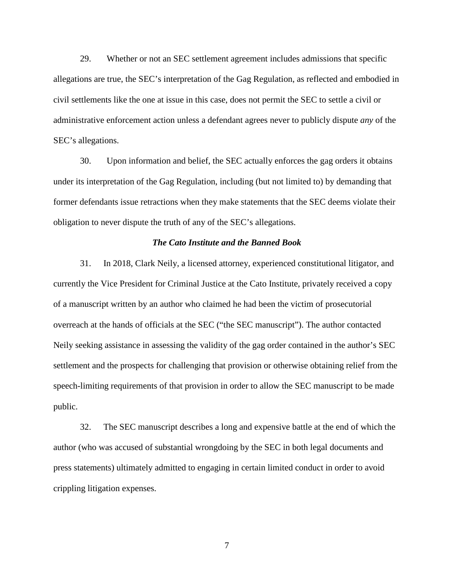29. Whether or not an SEC settlement agreement includes admissions that specific allegations are true, the SEC's interpretation of the Gag Regulation, as reflected and embodied in civil settlements like the one at issue in this case, does not permit the SEC to settle a civil or administrative enforcement action unless a defendant agrees never to publicly dispute *any* of the SEC's allegations.

30. Upon information and belief, the SEC actually enforces the gag orders it obtains under its interpretation of the Gag Regulation, including (but not limited to) by demanding that former defendants issue retractions when they make statements that the SEC deems violate their obligation to never dispute the truth of any of the SEC's allegations.

## *The Cato Institute and the Banned Book*

31. In 2018, Clark Neily, a licensed attorney, experienced constitutional litigator, and currently the Vice President for Criminal Justice at the Cato Institute, privately received a copy of a manuscript written by an author who claimed he had been the victim of prosecutorial overreach at the hands of officials at the SEC ("the SEC manuscript"). The author contacted Neily seeking assistance in assessing the validity of the gag order contained in the author's SEC settlement and the prospects for challenging that provision or otherwise obtaining relief from the speech-limiting requirements of that provision in order to allow the SEC manuscript to be made public.

32. The SEC manuscript describes a long and expensive battle at the end of which the author (who was accused of substantial wrongdoing by the SEC in both legal documents and press statements) ultimately admitted to engaging in certain limited conduct in order to avoid crippling litigation expenses.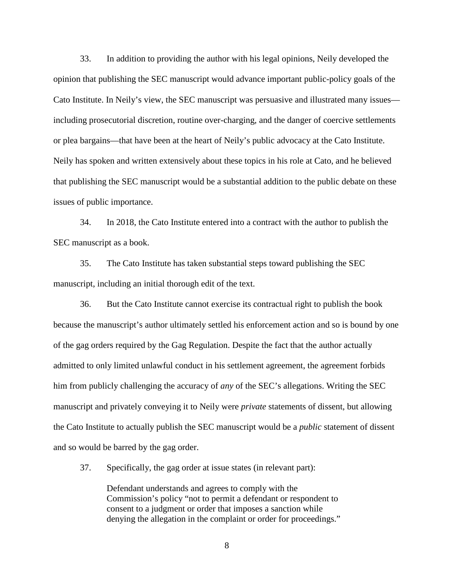33. In addition to providing the author with his legal opinions, Neily developed the opinion that publishing the SEC manuscript would advance important public-policy goals of the Cato Institute. In Neily's view, the SEC manuscript was persuasive and illustrated many issues including prosecutorial discretion, routine over-charging, and the danger of coercive settlements or plea bargains—that have been at the heart of Neily's public advocacy at the Cato Institute. Neily has spoken and written extensively about these topics in his role at Cato, and he believed that publishing the SEC manuscript would be a substantial addition to the public debate on these issues of public importance.

34. In 2018, the Cato Institute entered into a contract with the author to publish the SEC manuscript as a book.

35. The Cato Institute has taken substantial steps toward publishing the SEC manuscript, including an initial thorough edit of the text.

36. But the Cato Institute cannot exercise its contractual right to publish the book because the manuscript's author ultimately settled his enforcement action and so is bound by one of the gag orders required by the Gag Regulation. Despite the fact that the author actually admitted to only limited unlawful conduct in his settlement agreement, the agreement forbids him from publicly challenging the accuracy of *any* of the SEC's allegations. Writing the SEC manuscript and privately conveying it to Neily were *private* statements of dissent, but allowing the Cato Institute to actually publish the SEC manuscript would be a *public* statement of dissent and so would be barred by the gag order.

37. Specifically, the gag order at issue states (in relevant part):

Defendant understands and agrees to comply with the Commission's policy "not to permit a defendant or respondent to consent to a judgment or order that imposes a sanction while denying the allegation in the complaint or order for proceedings."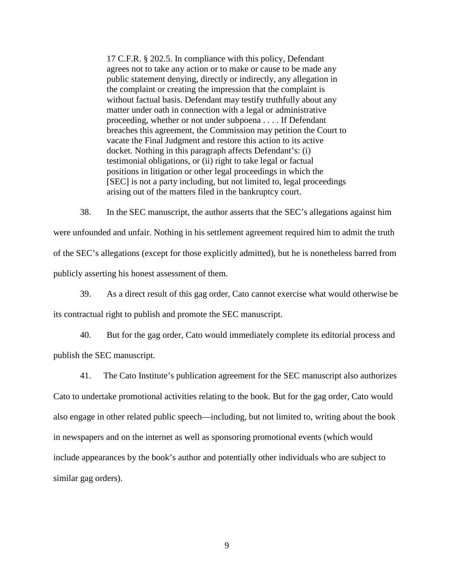17 C.F.R. § 202.5. In compliance with this policy, Defendant agrees not to take any action or to make or cause to be made any public statement denying, directly or indirectly, any allegation in the complaint or creating the impression that the complaint is without factual basis. Defendant may testify truthfully about any matter under oath in connection with a legal or administrative proceeding, whether or not under subpoena . . . . If Defendant breaches this agreement, the Commission may petition the Court to vacate the Final Judgment and restore this action to its active docket. Nothing in this paragraph affects Defendant's: (i) testimonial obligations, or (ii) right to take legal or factual positions in litigation or other legal proceedings in which the [SEC] is not a party including, but not limited to, legal proceedings arising out of the matters filed in the bankruptcy court.

38. In the SEC manuscript, the author asserts that the SEC's allegations against him were unfounded and unfair. Nothing in his settlement agreement required him to admit the truth of the SEC's allegations (except for those explicitly admitted), but he is nonetheless barred from publicly asserting his honest assessment of them.

39. As a direct result of this gag order, Cato cannot exercise what would otherwise be its contractual right to publish and promote the SEC manuscript.

40. But for the gag order, Cato would immediately complete its editorial process and publish the SEC manuscript.

41. The Cato Institute's publication agreement for the SEC manuscript also authorizes Cato to undertake promotional activities relating to the book. But for the gag order, Cato would also engage in other related public speech—including, but not limited to, writing about the book in newspapers and on the internet as well as sponsoring promotional events (which would include appearances by the book's author and potentially other individuals who are subject to similar gag orders).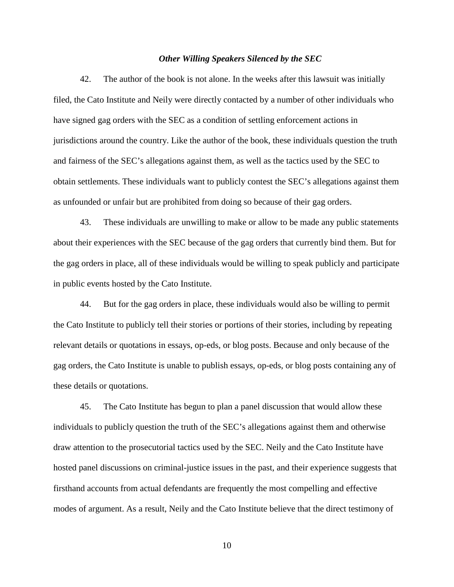#### *Other Willing Speakers Silenced by the SEC*

42. The author of the book is not alone. In the weeks after this lawsuit was initially filed, the Cato Institute and Neily were directly contacted by a number of other individuals who have signed gag orders with the SEC as a condition of settling enforcement actions in jurisdictions around the country. Like the author of the book, these individuals question the truth and fairness of the SEC's allegations against them, as well as the tactics used by the SEC to obtain settlements. These individuals want to publicly contest the SEC's allegations against them as unfounded or unfair but are prohibited from doing so because of their gag orders.

43. These individuals are unwilling to make or allow to be made any public statements about their experiences with the SEC because of the gag orders that currently bind them. But for the gag orders in place, all of these individuals would be willing to speak publicly and participate in public events hosted by the Cato Institute.

44. But for the gag orders in place, these individuals would also be willing to permit the Cato Institute to publicly tell their stories or portions of their stories, including by repeating relevant details or quotations in essays, op-eds, or blog posts. Because and only because of the gag orders, the Cato Institute is unable to publish essays, op-eds, or blog posts containing any of these details or quotations.

45. The Cato Institute has begun to plan a panel discussion that would allow these individuals to publicly question the truth of the SEC's allegations against them and otherwise draw attention to the prosecutorial tactics used by the SEC. Neily and the Cato Institute have hosted panel discussions on criminal-justice issues in the past, and their experience suggests that firsthand accounts from actual defendants are frequently the most compelling and effective modes of argument. As a result, Neily and the Cato Institute believe that the direct testimony of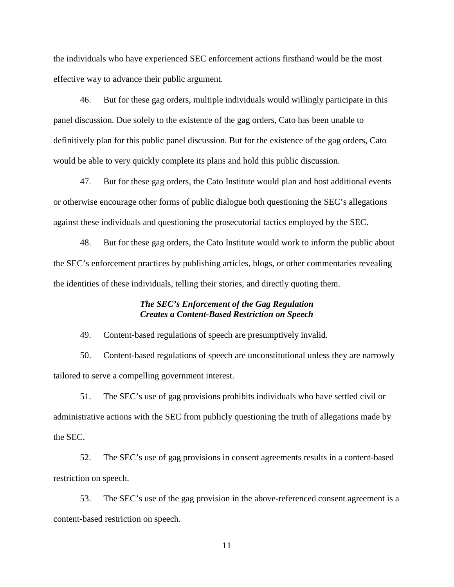the individuals who have experienced SEC enforcement actions firsthand would be the most effective way to advance their public argument.

46. But for these gag orders, multiple individuals would willingly participate in this panel discussion. Due solely to the existence of the gag orders, Cato has been unable to definitively plan for this public panel discussion. But for the existence of the gag orders, Cato would be able to very quickly complete its plans and hold this public discussion.

47. But for these gag orders, the Cato Institute would plan and host additional events or otherwise encourage other forms of public dialogue both questioning the SEC's allegations against these individuals and questioning the prosecutorial tactics employed by the SEC.

48. But for these gag orders, the Cato Institute would work to inform the public about the SEC's enforcement practices by publishing articles, blogs, or other commentaries revealing the identities of these individuals, telling their stories, and directly quoting them.

## *The SEC's Enforcement of the Gag Regulation Creates a Content-Based Restriction on Speech*

49. Content-based regulations of speech are presumptively invalid.

50. Content-based regulations of speech are unconstitutional unless they are narrowly tailored to serve a compelling government interest.

51. The SEC's use of gag provisions prohibits individuals who have settled civil or administrative actions with the SEC from publicly questioning the truth of allegations made by the SEC.

52. The SEC's use of gag provisions in consent agreements results in a content-based restriction on speech.

53. The SEC's use of the gag provision in the above-referenced consent agreement is a content-based restriction on speech.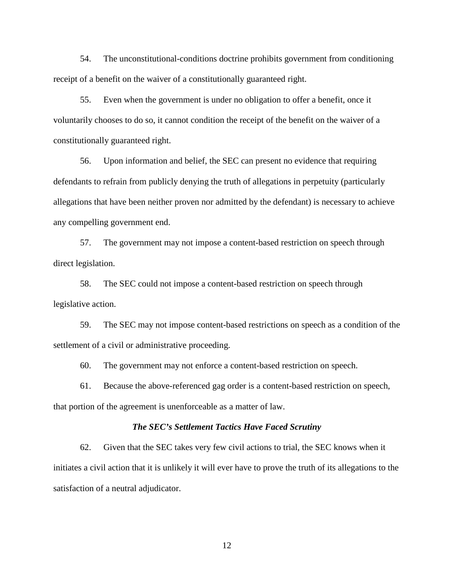54. The unconstitutional-conditions doctrine prohibits government from conditioning receipt of a benefit on the waiver of a constitutionally guaranteed right.

55. Even when the government is under no obligation to offer a benefit, once it voluntarily chooses to do so, it cannot condition the receipt of the benefit on the waiver of a constitutionally guaranteed right.

56. Upon information and belief, the SEC can present no evidence that requiring defendants to refrain from publicly denying the truth of allegations in perpetuity (particularly allegations that have been neither proven nor admitted by the defendant) is necessary to achieve any compelling government end.

57. The government may not impose a content-based restriction on speech through direct legislation.

58. The SEC could not impose a content-based restriction on speech through legislative action.

59. The SEC may not impose content-based restrictions on speech as a condition of the settlement of a civil or administrative proceeding.

60. The government may not enforce a content-based restriction on speech.

61. Because the above-referenced gag order is a content-based restriction on speech, that portion of the agreement is unenforceable as a matter of law.

#### *The SEC's Settlement Tactics Have Faced Scrutiny*

62. Given that the SEC takes very few civil actions to trial, the SEC knows when it initiates a civil action that it is unlikely it will ever have to prove the truth of its allegations to the satisfaction of a neutral adjudicator.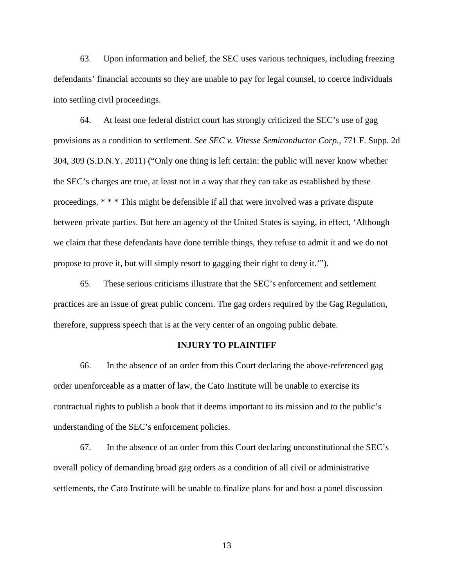63. Upon information and belief, the SEC uses various techniques, including freezing defendants' financial accounts so they are unable to pay for legal counsel, to coerce individuals into settling civil proceedings.

64. At least one federal district court has strongly criticized the SEC's use of gag provisions as a condition to settlement. *See SEC v. Vitesse Semiconductor Corp.*, 771 F. Supp. 2d 304, 309 (S.D.N.Y. 2011) ("Only one thing is left certain: the public will never know whether the SEC's charges are true, at least not in a way that they can take as established by these proceedings. \* \* \* This might be defensible if all that were involved was a private dispute between private parties. But here an agency of the United States is saying, in effect, 'Although we claim that these defendants have done terrible things, they refuse to admit it and we do not propose to prove it, but will simply resort to gagging their right to deny it.'").

65. These serious criticisms illustrate that the SEC's enforcement and settlement practices are an issue of great public concern. The gag orders required by the Gag Regulation, therefore, suppress speech that is at the very center of an ongoing public debate.

## **INJURY TO PLAINTIFF**

66. In the absence of an order from this Court declaring the above-referenced gag order unenforceable as a matter of law, the Cato Institute will be unable to exercise its contractual rights to publish a book that it deems important to its mission and to the public's understanding of the SEC's enforcement policies.

67. In the absence of an order from this Court declaring unconstitutional the SEC's overall policy of demanding broad gag orders as a condition of all civil or administrative settlements, the Cato Institute will be unable to finalize plans for and host a panel discussion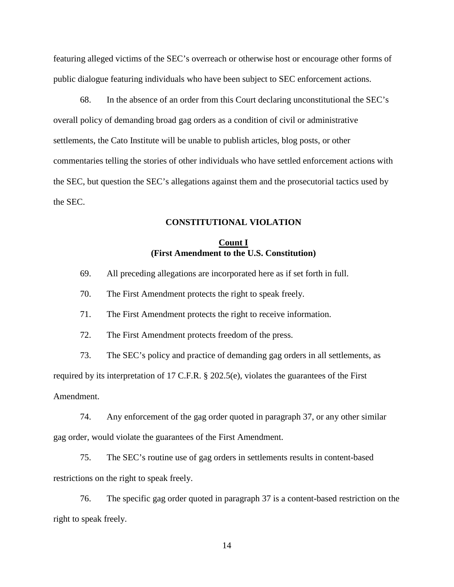featuring alleged victims of the SEC's overreach or otherwise host or encourage other forms of public dialogue featuring individuals who have been subject to SEC enforcement actions.

68. In the absence of an order from this Court declaring unconstitutional the SEC's overall policy of demanding broad gag orders as a condition of civil or administrative settlements, the Cato Institute will be unable to publish articles, blog posts, or other commentaries telling the stories of other individuals who have settled enforcement actions with the SEC, but question the SEC's allegations against them and the prosecutorial tactics used by the SEC.

## **CONSTITUTIONAL VIOLATION**

## **Count I (First Amendment to the U.S. Constitution)**

- 69. All preceding allegations are incorporated here as if set forth in full.
- 70. The First Amendment protects the right to speak freely.

71. The First Amendment protects the right to receive information.

72. The First Amendment protects freedom of the press.

73. The SEC's policy and practice of demanding gag orders in all settlements, as required by its interpretation of 17 C.F.R. § 202.5(e), violates the guarantees of the First Amendment.

74. Any enforcement of the gag order quoted in paragraph 37, or any other similar gag order, would violate the guarantees of the First Amendment.

75. The SEC's routine use of gag orders in settlements results in content-based restrictions on the right to speak freely.

76. The specific gag order quoted in paragraph 37 is a content-based restriction on the right to speak freely.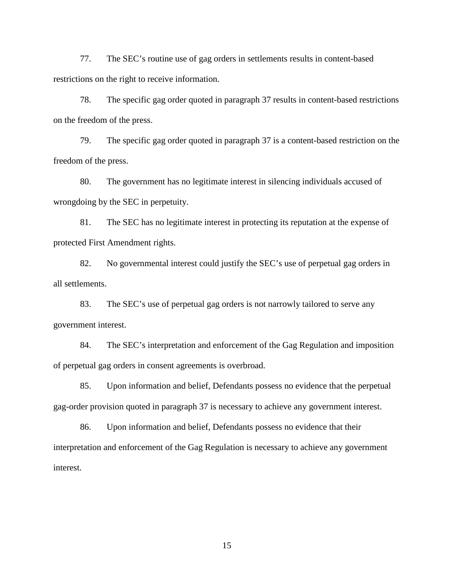77. The SEC's routine use of gag orders in settlements results in content-based restrictions on the right to receive information.

78. The specific gag order quoted in paragraph 37 results in content-based restrictions on the freedom of the press.

79. The specific gag order quoted in paragraph 37 is a content-based restriction on the freedom of the press.

80. The government has no legitimate interest in silencing individuals accused of wrongdoing by the SEC in perpetuity.

81. The SEC has no legitimate interest in protecting its reputation at the expense of protected First Amendment rights.

82. No governmental interest could justify the SEC's use of perpetual gag orders in all settlements.

83. The SEC's use of perpetual gag orders is not narrowly tailored to serve any government interest.

84. The SEC's interpretation and enforcement of the Gag Regulation and imposition of perpetual gag orders in consent agreements is overbroad.

85. Upon information and belief, Defendants possess no evidence that the perpetual gag-order provision quoted in paragraph 37 is necessary to achieve any government interest.

86. Upon information and belief, Defendants possess no evidence that their interpretation and enforcement of the Gag Regulation is necessary to achieve any government interest.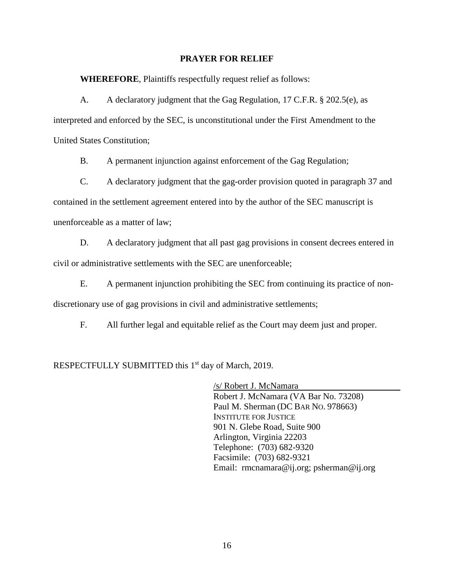#### **PRAYER FOR RELIEF**

**WHEREFORE**, Plaintiffs respectfully request relief as follows:

A. A declaratory judgment that the Gag Regulation, 17 C.F.R. § 202.5(e), as interpreted and enforced by the SEC, is unconstitutional under the First Amendment to the United States Constitution;

B. A permanent injunction against enforcement of the Gag Regulation;

C. A declaratory judgment that the gag-order provision quoted in paragraph 37 and contained in the settlement agreement entered into by the author of the SEC manuscript is unenforceable as a matter of law;

D. A declaratory judgment that all past gag provisions in consent decrees entered in civil or administrative settlements with the SEC are unenforceable;

E. A permanent injunction prohibiting the SEC from continuing its practice of nondiscretionary use of gag provisions in civil and administrative settlements;

F. All further legal and equitable relief as the Court may deem just and proper.

RESPECTFULLY SUBMITTED this 1<sup>st</sup> day of March, 2019.

/s/ Robert J. McNamara Robert J. McNamara (VA Bar No. 73208) Paul M. Sherman (DC BAR NO. 978663) INSTITUTE FOR JUSTICE 901 N. Glebe Road, Suite 900 Arlington, Virginia 22203 Telephone: (703) 682-9320 Facsimile: (703) 682-9321 Email: rmcnamara@ij.org; psherman@ij.org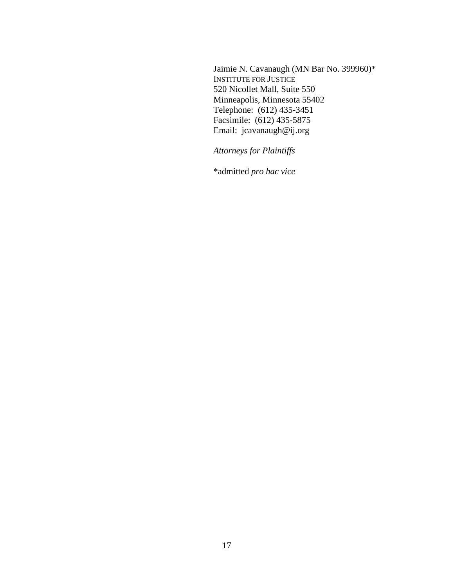Jaimie N. Cavanaugh (MN Bar No. 399960)\* INSTITUTE FOR JUSTICE 520 Nicollet Mall, Suite 550 Minneapolis, Minnesota 55402 Telephone: (612) 435-3451 Facsimile: (612) 435-5875 Email: jcavanaugh@ij.org

*Attorneys for Plaintiffs*

\*admitted *pro hac vice*